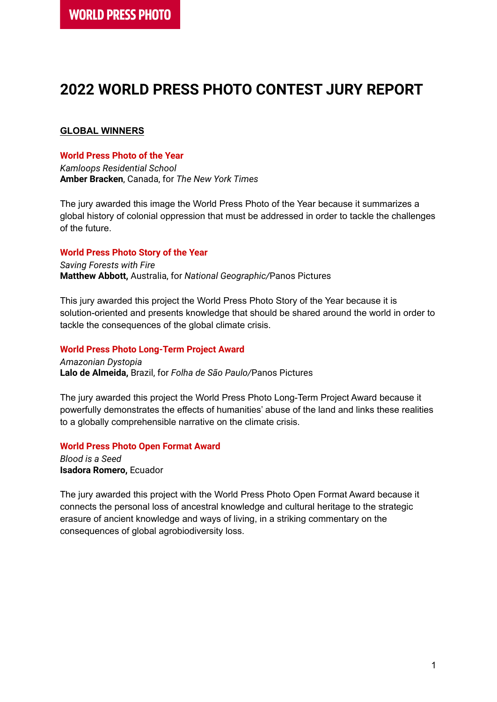# **2022 WORLD PRESS PHOTO CONTEST JURY REPORT**

## **GLOBAL WINNERS**

## **World Press Photo of the Year**

*Kamloops Residential School* **Amber Bracken**, Canada, for *The New York Times*

The jury awarded this image the World Press Photo of the Year because it summarizes a global history of colonial oppression that must be addressed in order to tackle the challenges of the future.

#### **World Press Photo Story of the Year**

*Saving Forests with Fire* **Matthew Abbott,** Australia, for *National Geographic/*Panos Pictures

This jury awarded this project the World Press Photo Story of the Year because it is solution-oriented and presents knowledge that should be shared around the world in order to tackle the consequences of the global climate crisis.

#### **World Press Photo Long-Term Project Award**

*Amazonian Dystopia* **Lalo de Almeida,** Brazil, for *Folha de São Paulo/*Panos Pictures

The jury awarded this project the World Press Photo Long-Term Project Award because it powerfully demonstrates the effects of humanities' abuse of the land and links these realities to a globally comprehensible narrative on the climate crisis.

## **World Press Photo Open Format Award**

*Blood is a Seed* **Isadora Romero,** Ecuador

The jury awarded this project with the World Press Photo Open Format Award because it connects the personal loss of ancestral knowledge and cultural heritage to the strategic erasure of ancient knowledge and ways of living, in a striking commentary on the consequences of global agrobiodiversity loss.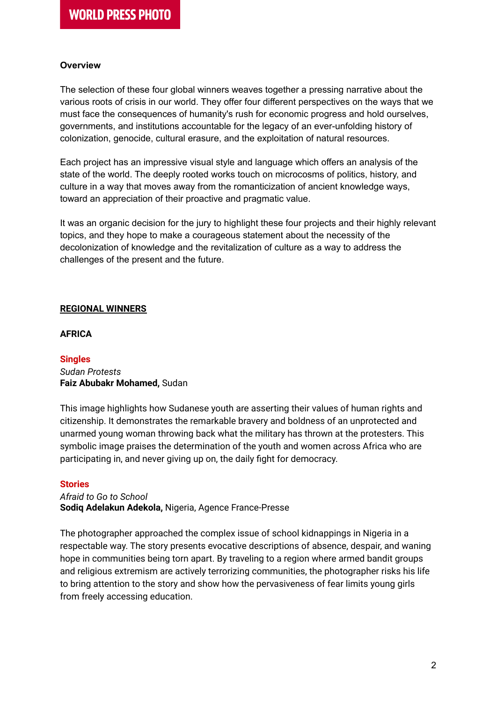## **Overview**

The selection of these four global winners weaves together a pressing narrative about the various roots of crisis in our world. They offer four different perspectives on the ways that we must face the consequences of humanity's rush for economic progress and hold ourselves, governments, and institutions accountable for the legacy of an ever-unfolding history of colonization, genocide, cultural erasure, and the exploitation of natural resources.

Each project has an impressive visual style and language which offers an analysis of the state of the world. The deeply rooted works touch on microcosms of politics, history, and culture in a way that moves away from the romanticization of ancient knowledge ways, toward an appreciation of their proactive and pragmatic value.

It was an organic decision for the jury to highlight these four projects and their highly relevant topics, and they hope to make a courageous statement about the necessity of the decolonization of knowledge and the revitalization of culture as a way to address the challenges of the present and the future.

## **REGIONAL WINNERS**

## **AFRICA**

## **Singles**

#### *Sudan Protests* **Faiz Abubakr Mohamed,** Sudan

This image highlights how Sudanese youth are asserting their values of human rights and citizenship. It demonstrates the remarkable bravery and boldness of an unprotected and unarmed young woman throwing back what the military has thrown at the protesters. This symbolic image praises the determination of the youth and women across Africa who are participating in, and never giving up on, the daily fight for democracy.

## **Stories**

*Afraid to Go to School* **Sodiq Adelakun Adekola,** Nigeria, Agence France-Presse

The photographer approached the complex issue of school kidnappings in Nigeria in a respectable way. The story presents evocative descriptions of absence, despair, and waning hope in communities being torn apart. By traveling to a region where armed bandit groups and religious extremism are actively terrorizing communities, the photographer risks his life to bring attention to the story and show how the pervasiveness of fear limits young girls from freely accessing education.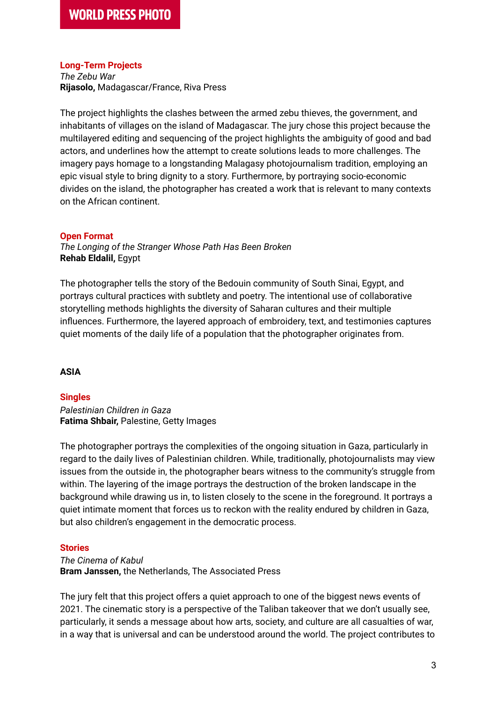## **Long-Term Projects**

*The Zebu War* **Rijasolo,** Madagascar/France, Riva Press

The project highlights the clashes between the armed zebu thieves, the government, and inhabitants of villages on the island of Madagascar. The jury chose this project because the multilayered editing and sequencing of the project highlights the ambiguity of good and bad actors, and underlines how the attempt to create solutions leads to more challenges. The imagery pays homage to a longstanding Malagasy photojournalism tradition, employing an epic visual style to bring dignity to a story. Furthermore, by portraying socio-economic divides on the island, the photographer has created a work that is relevant to many contexts on the African continent.

## **Open Format**

*The Longing of the Stranger Whose Path Has Been Broken* **Rehab Eldalil,** Egypt

The photographer tells the story of the Bedouin community of South Sinai, Egypt, and portrays cultural practices with subtlety and poetry. The intentional use of collaborative storytelling methods highlights the diversity of Saharan cultures and their multiple influences. Furthermore, the layered approach of embroidery, text, and testimonies captures quiet moments of the daily life of a population that the photographer originates from.

## **ASIA**

## **Singles**

*Palestinian Children in Gaza* **Fatima Shbair,** Palestine, Getty Images

The photographer portrays the complexities of the ongoing situation in Gaza, particularly in regard to the daily lives of Palestinian children. While, traditionally, photojournalists may view issues from the outside in, the photographer bears witness to the community's struggle from within. The layering of the image portrays the destruction of the broken landscape in the background while drawing us in, to listen closely to the scene in the foreground. It portrays a quiet intimate moment that forces us to reckon with the reality endured by children in Gaza, but also children's engagement in the democratic process.

## **Stories**

*The Cinema of Kabul* **Bram Janssen,** the Netherlands, The Associated Press

The jury felt that this project offers a quiet approach to one of the biggest news events of 2021. The cinematic story is a perspective of the Taliban takeover that we don't usually see, particularly, it sends a message about how arts, society, and culture are all casualties of war, in a way that is universal and can be understood around the world. The project contributes to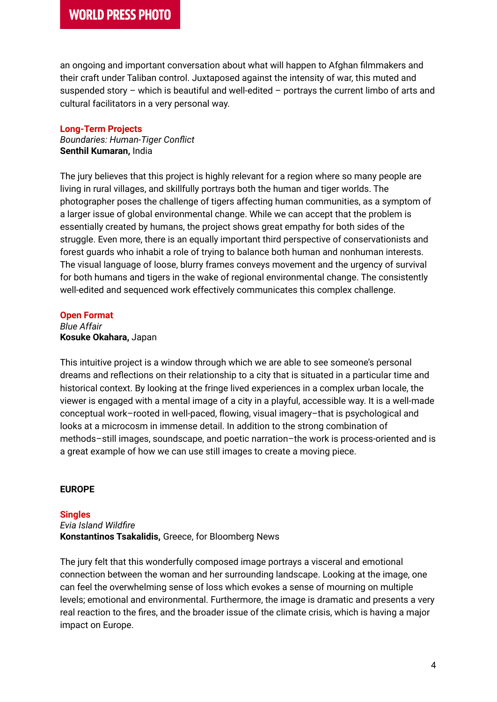## **WORLD PRESS PHOTO**

an ongoing and important conversation about what will happen to Afghan filmmakers and their craft under Taliban control. Juxtaposed against the intensity of war, this muted and suspended story – which is beautiful and well-edited – portrays the current limbo of arts and cultural facilitators in a very personal way.

#### **Long-Term Projects**

*Boundaries: Human-Tiger Conflict* **Senthil Kumaran,** India

The jury believes that this project is highly relevant for a region where so many people are living in rural villages, and skillfully portrays both the human and tiger worlds. The photographer poses the challenge of tigers affecting human communities, as a symptom of a larger issue of global environmental change. While we can accept that the problem is essentially created by humans, the project shows great empathy for both sides of the struggle. Even more, there is an equally important third perspective of conservationists and forest guards who inhabit a role of trying to balance both human and nonhuman interests. The visual language of loose, blurry frames conveys movement and the urgency of survival for both humans and tigers in the wake of regional environmental change. The consistently well-edited and sequenced work effectively communicates this complex challenge.

#### **Open Format**

*Blue Affair* **Kosuke Okahara,** Japan

This intuitive project is a window through which we are able to see someone's personal dreams and reflections on their relationship to a city that is situated in a particular time and historical context. By looking at the fringe lived experiences in a complex urban locale, the viewer is engaged with a mental image of a city in a playful, accessible way. It is a well-made conceptual work–rooted in well-paced, flowing, visual imagery–that is psychological and looks at a microcosm in immense detail. In addition to the strong combination of methods–still images, soundscape, and poetic narration–the work is process-oriented and is a great example of how we can use still images to create a moving piece.

## **EUROPE**

## **Singles**

*Evia Island Wildfire* **Konstantinos Tsakalidis,** Greece, for Bloomberg News

The jury felt that this wonderfully composed image portrays a visceral and emotional connection between the woman and her surrounding landscape. Looking at the image, one can feel the overwhelming sense of loss which evokes a sense of mourning on multiple levels; emotional and environmental. Furthermore, the image is dramatic and presents a very real reaction to the fires, and the broader issue of the climate crisis, which is having a major impact on Europe.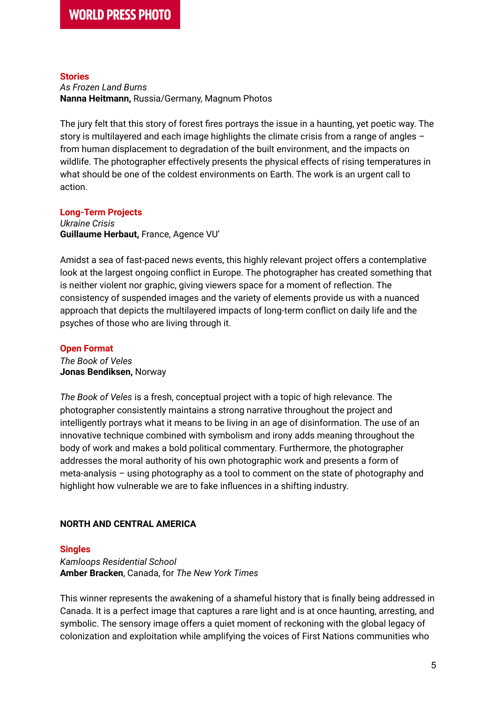#### **Stories**

*As Frozen Land Burns* **Nanna Heitmann,** Russia/Germany, Magnum Photos

The jury felt that this story of forest fires portrays the issue in a haunting, yet poetic way. The story is multilayered and each image highlights the climate crisis from a range of angles from human displacement to degradation of the built environment, and the impacts on wildlife. The photographer effectively presents the physical effects of rising temperatures in what should be one of the coldest environments on Earth. The work is an urgent call to action.

## **Long-Term Projects**

*Ukraine Crisis* **Guillaume Herbaut,** France, Agence VU'

Amidst a sea of fast-paced news events, this highly relevant project offers a contemplative look at the largest ongoing conflict in Europe. The photographer has created something that is neither violent nor graphic, giving viewers space for a moment of reflection. The consistency of suspended images and the variety of elements provide us with a nuanced approach that depicts the multilayered impacts of long-term conflict on daily life and the psyches of those who are living through it.

## **Open Format**

*The Book of Veles* **Jonas Bendiksen,** Norway

*The Book of Veles* is a fresh, conceptual project with a topic of high relevance. The photographer consistently maintains a strong narrative throughout the project and intelligently portrays what it means to be living in an age of disinformation. The use of an innovative technique combined with symbolism and irony adds meaning throughout the body of work and makes a bold political commentary. Furthermore, the photographer addresses the moral authority of his own photographic work and presents a form of meta-analysis – using photography as a tool to comment on the state of photography and highlight how vulnerable we are to fake influences in a shifting industry.

## **NORTH AND CENTRAL AMERICA**

## **Singles**

*Kamloops Residential School* **Amber Bracken**, Canada, for *The New York Times*

This winner represents the awakening of a shameful history that is finally being addressed in Canada. It is a perfect image that captures a rare light and is at once haunting, arresting, and symbolic. The sensory image offers a quiet moment of reckoning with the global legacy of colonization and exploitation while amplifying the voices of First Nations communities who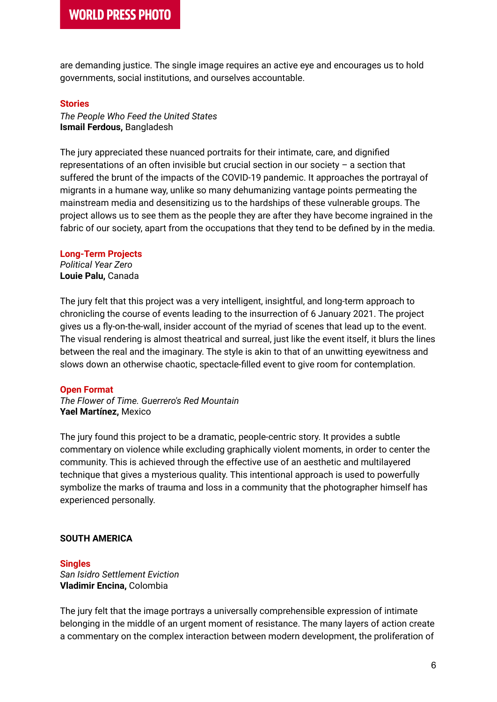## **WORLD PRESS PHOTO**

are demanding justice. The single image requires an active eye and encourages us to hold governments, social institutions, and ourselves accountable.

#### **Stories**

*The People Who Feed the United States* **Ismail Ferdous,** Bangladesh

The jury appreciated these nuanced portraits for their intimate, care, and dignified representations of an often invisible but crucial section in our society  $-$  a section that suffered the brunt of the impacts of the COVID-19 pandemic. It approaches the portrayal of migrants in a humane way, unlike so many dehumanizing vantage points permeating the mainstream media and desensitizing us to the hardships of these vulnerable groups. The project allows us to see them as the people they are after they have become ingrained in the fabric of our society, apart from the occupations that they tend to be defined by in the media.

#### **Long-Term Projects**

*Political Year Zero* **Louie Palu,** Canada

The jury felt that this project was a very intelligent, insightful, and long-term approach to chronicling the course of events leading to the insurrection of 6 January 2021. The project gives us a fly-on-the-wall, insider account of the myriad of scenes that lead up to the event. The visual rendering is almost theatrical and surreal, just like the event itself, it blurs the lines between the real and the imaginary. The style is akin to that of an unwitting eyewitness and slows down an otherwise chaotic, spectacle-filled event to give room for contemplation.

#### **Open Format**

*The Flower of Time. Guerrero's Red Mountain* **Yael Martínez,** Mexico

The jury found this project to be a dramatic, people-centric story. It provides a subtle commentary on violence while excluding graphically violent moments, in order to center the community. This is achieved through the effective use of an aesthetic and multilayered technique that gives a mysterious quality. This intentional approach is used to powerfully symbolize the marks of trauma and loss in a community that the photographer himself has experienced personally.

## **SOUTH AMERICA**

**Singles** *San Isidro Settlement Eviction* **Vladimir Encina,** Colombia

The jury felt that the image portrays a universally comprehensible expression of intimate belonging in the middle of an urgent moment of resistance. The many layers of action create a commentary on the complex interaction between modern development, the proliferation of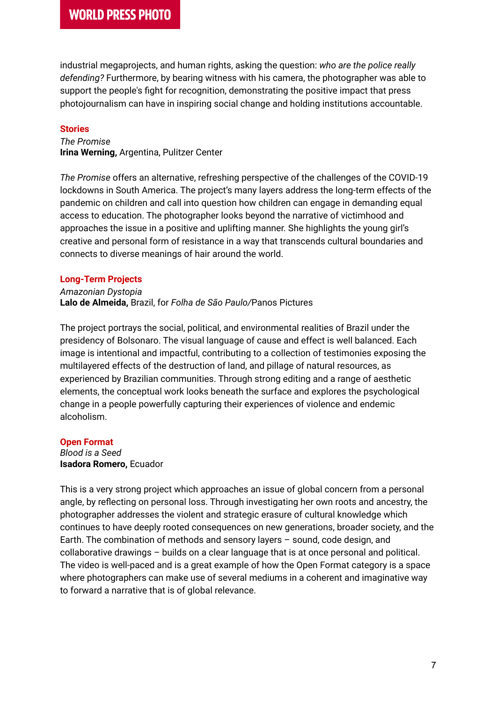industrial megaprojects, and human rights, asking the question: *who are the police really defending?* Furthermore, by bearing witness with his camera, the photographer was able to support the people's fight for recognition, demonstrating the positive impact that press photojournalism can have in inspiring social change and holding institutions accountable.

## **Stories**

*The Promise* **Irina Werning,** Argentina, Pulitzer Center

*The Promise* offers an alternative, refreshing perspective of the challenges of the COVID-19 lockdowns in South America. The project's many layers address the long-term effects of the pandemic on children and call into question how children can engage in demanding equal access to education. The photographer looks beyond the narrative of victimhood and approaches the issue in a positive and uplifting manner. She highlights the young girl's creative and personal form of resistance in a way that transcends cultural boundaries and connects to diverse meanings of hair around the world.

## **Long-Term Projects**

*Amazonian Dystopia* **Lalo de Almeida,** Brazil, for *Folha de São Paulo/*Panos Pictures

The project portrays the social, political, and environmental realities of Brazil under the presidency of Bolsonaro. The visual language of cause and effect is well balanced. Each image is intentional and impactful, contributing to a collection of testimonies exposing the multilayered effects of the destruction of land, and pillage of natural resources, as experienced by Brazilian communities. Through strong editing and a range of aesthetic elements, the conceptual work looks beneath the surface and explores the psychological change in a people powerfully capturing their experiences of violence and endemic alcoholism.

## **Open Format**

*Blood is a Seed* **Isadora Romero,** Ecuador

This is a very strong project which approaches an issue of global concern from a personal angle, by reflecting on personal loss. Through investigating her own roots and ancestry, the photographer addresses the violent and strategic erasure of cultural knowledge which continues to have deeply rooted consequences on new generations, broader society, and the Earth. The combination of methods and sensory layers – sound, code design, and collaborative drawings – builds on a clear language that is at once personal and political. The video is well-paced and is a great example of how the Open Format category is a space where photographers can make use of several mediums in a coherent and imaginative way to forward a narrative that is of global relevance.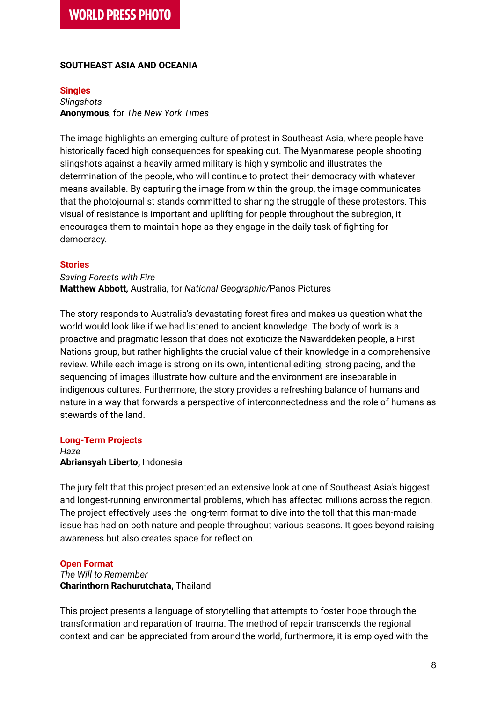## **SOUTHEAST ASIA AND OCEANIA**

#### **Singles**

*Slingshots* **Anonymous**, for *The New York Times*

The image highlights an emerging culture of protest in Southeast Asia, where people have historically faced high consequences for speaking out. The Myanmarese people shooting slingshots against a heavily armed military is highly symbolic and illustrates the determination of the people, who will continue to protect their democracy with whatever means available. By capturing the image from within the group, the image communicates that the photojournalist stands committed to sharing the struggle of these protestors. This visual of resistance is important and uplifting for people throughout the subregion, it encourages them to maintain hope as they engage in the daily task of fighting for democracy.

#### **Stories**

*Saving Forests with Fire* **Matthew Abbott,** Australia, for *National Geographic/*Panos Pictures

The story responds to Australia's devastating forest fires and makes us question what the world would look like if we had listened to ancient knowledge. The body of work is a proactive and pragmatic lesson that does not exoticize the Nawarddeken people, a First Nations group, but rather highlights the crucial value of their knowledge in a comprehensive review. While each image is strong on its own, intentional editing, strong pacing, and the sequencing of images illustrate how culture and the environment are inseparable in indigenous cultures. Furthermore, the story provides a refreshing balance of humans and nature in a way that forwards a perspective of interconnectedness and the role of humans as stewards of the land.

#### **Long-Term Projects**

*Haze* **Abriansyah Liberto,** Indonesia

The jury felt that this project presented an extensive look at one of Southeast Asia's biggest and longest-running environmental problems, which has affected millions across the region. The project effectively uses the long-term format to dive into the toll that this man-made issue has had on both nature and people throughout various seasons. It goes beyond raising awareness but also creates space for reflection.

#### **Open Format**

*The Will to Remember* **Charinthorn Rachurutchata,** Thailand

This project presents a language of storytelling that attempts to foster hope through the transformation and reparation of trauma. The method of repair transcends the regional context and can be appreciated from around the world, furthermore, it is employed with the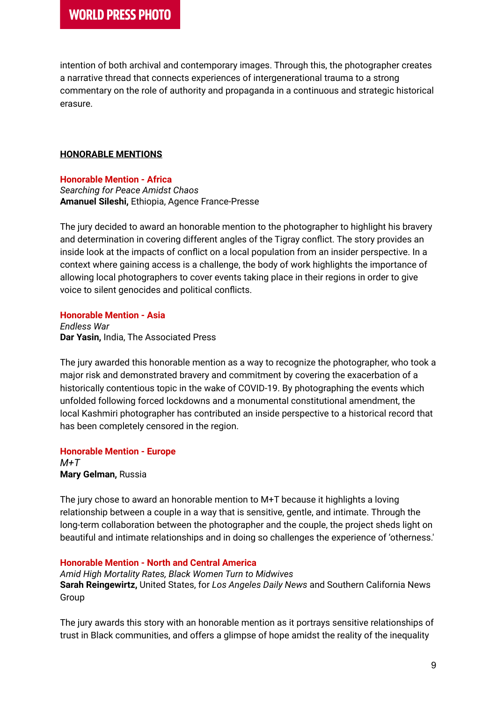intention of both archival and contemporary images. Through this, the photographer creates a narrative thread that connects experiences of intergenerational trauma to a strong commentary on the role of authority and propaganda in a continuous and strategic historical erasure.

## **HONORABLE MENTIONS**

**Honorable Mention - Africa** *Searching for Peace Amidst Chaos* **Amanuel Sileshi,** Ethiopia, Agence France-Presse

The jury decided to award an honorable mention to the photographer to highlight his bravery and determination in covering different angles of the Tigray conflict. The story provides an inside look at the impacts of conflict on a local population from an insider perspective. In a context where gaining access is a challenge, the body of work highlights the importance of allowing local photographers to cover events taking place in their regions in order to give voice to silent genocides and political conflicts.

## **Honorable Mention - Asia**

*Endless War* **Dar Yasin,** India, The Associated Press

The jury awarded this honorable mention as a way to recognize the photographer, who took a major risk and demonstrated bravery and commitment by covering the exacerbation of a historically contentious topic in the wake of COVID-19. By photographing the events which unfolded following forced lockdowns and a monumental constitutional amendment, the local Kashmiri photographer has contributed an inside perspective to a historical record that has been completely censored in the region.

**Honorable Mention - Europe** *M+T* **Mary Gelman,** Russia

The jury chose to award an honorable mention to M+T because it highlights a loving relationship between a couple in a way that is sensitive, gentle, and intimate. Through the long-term collaboration between the photographer and the couple, the project sheds light on beautiful and intimate relationships and in doing so challenges the experience of 'otherness.'

## **Honorable Mention - North and Central America**

*Amid High Mortality Rates, Black Women Turn to Midwives* **Sarah Reingewirtz,** United States, for *Los Angeles Daily News* and Southern California News Group

The jury awards this story with an honorable mention as it portrays sensitive relationships of trust in Black communities, and offers a glimpse of hope amidst the reality of the inequality